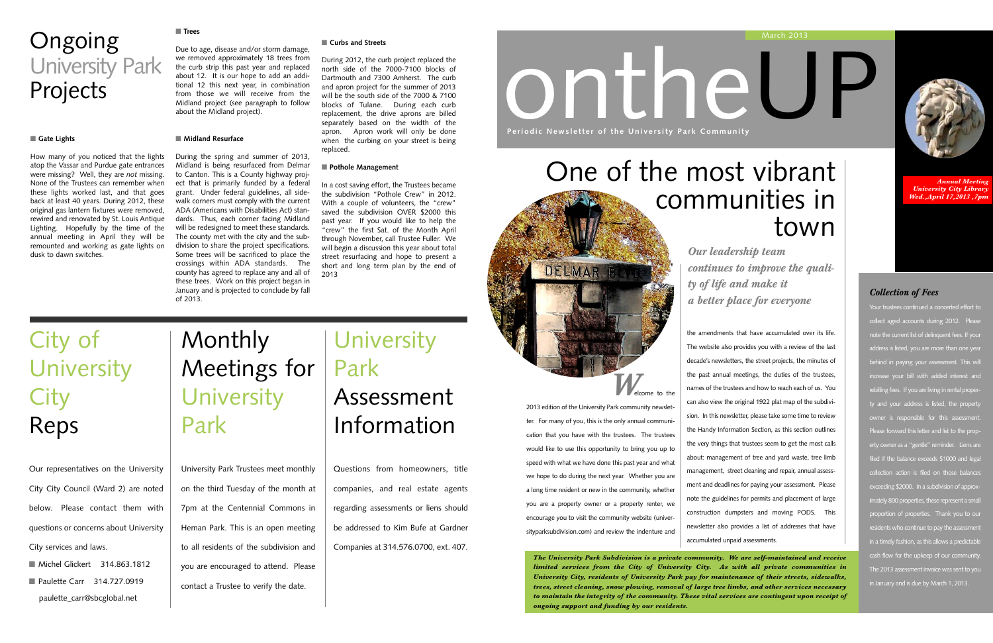*The University Park Subdivision is a private community. We are self-maintained and receive limited services from the City of University City. As with all private communities in University City, residents of University Park pay for maintenance of their streets, sidewalks, trees, street cleaning, snow plowing, removal of large tree limbs, and other services necessary to maintain the integrity of the community. These vital services are contingent upon receipt of ongoing support and funding by our residents.*

# ontheUP **Periodic Newsletter of the University Park Community**

*Welcome* to the

## **Monthly** Meetings for **University** Park

2013 edition of the University Park community newsletter. For many of you, this is the only annual communication that you have with the trustees. The trustees would like to use this opportunity to bring you up to speed with what we have done this past year and what we hope to do during the next year. Whether you are a long time resident or new in the community, whether you are a property owner or a property renter, we encourage you to visit the community website (universityparksubdivision.com) and review the indenture and

DELMAR B

- Michel Glickert 314.863.1812
- Paulette Carr 314.727.0919 paulette\_carr@sbcglobal.net

## **University** Park Assessment Information

#### March 2013



*Annual Meeting University City Library Wed.,April 17,2013 ,7pm*

*Our leadership team continues to improve the quality of life and make it a better place for everyone*

University Park Trustees meet monthly on the third Tuesday of the month at 7pm at the Centennial Commons in Heman Park. This is an open meeting to all residents of the subdivision and you are encouraged to attend. Please contact a Trustee to verify the date.

## City of **University City** Reps

Our representatives on the University City City Council (Ward 2) are noted below. Please contact them with questions or concerns about University City services and laws.

Questions from homeowners, title companies, and real estate agents regarding assessments or liens should be addressed to Kim Bufe at Gardner Companies at 314.576.0700, ext. 407.

### *Collection of Fees*

Your trustees continued a concerted effort to collect aged accounts during 2012. Please note the current list of delinquent fees. If your address is listed, you are more than one year behind in paying your assessment. This will increase your bill with added interest and rebilling fees. If you are living in rental property and your address is listed, the property owner is responsible for this assessment. Please forward this letter and list to the property owner as a "gentle" reminder. Liens are filed if the balance exceeds \$1000 and legal collection action is filed on those balances exceeding \$2000. In a subdivision of approximately 800 properties, these represent a small proportion of properties. Thank you to our residents who continue to pay the assessment in a timely fashion, as this allows a predictable cash flow for the upkeep of our community. The 2013 assessment invoice was sent to you in January and is due by March 1, 2013.

## **Ongoing** University Park Projects

#### ■ Gate Lights

the amendments that have accumulated over its life. The website also provides you with a review of the last decade's newsletters, the street projects, the minutes of the past annual meetings, the duties of the trustees, names of the trustees and how to reach each of us. You can also view the original 1922 plat map of the subdivision. In this newsletter, please take some time to review the Handy Information Section, as this section outlines the very things that trustees seem to get the most calls about: management of tree and yard waste, tree limb management, street cleaning and repair, annual assessment and deadlines for paying your assessment. Please note the guidelines for permits and placement of large construction dumpsters and moving PODS. This newsletter also provides a list of addresses that have accumulated unpaid assessments.



## One of the most vibrant communities in town

How many of you noticed that the lights atop the Vassar and Purdue gate entrances were missing? Well, they are *not* missing. None of the Trustees can remember when these lights worked last, and that goes back at least 40 years. During 2012, these original gas lantern fixtures were removed, rewired and renovated by St. Louis Antique Lighting. Hopefully by the time of the annual meeting in April they will be remounted and working as gate lights on dusk to dawn switches.

#### ■ **Trees**

Due to age, disease and/or storm damage, we removed approximately 18 trees from the curb strip this past year and replaced about 12. It is our hope to add an additional 12 this next year, in combination from those we will receive from the Midland project (see paragraph to follow about the Midland project).

#### ■ **Midland Resurface**

During the spring and summer of 2013, Midland is being resurfaced from Delmar to Canton. This is a County highway project that is primarily funded by a federal grant. Under federal guidelines, all sidewalk corners must comply with the current ADA (Americans with Disabilities Act) standards. Thus, each corner facing Midland will be redesigned to meet these standards. The county met with the city and the subdivision to share the project specifications. Some trees will be sacrificed to place the crossings within ADA standards. The county has agreed to replace any and all of these trees. Work on this project began in January and is projected to conclude by fall of 2013.

#### ■ **Curbs and Streets**

During 2012, the curb project replaced the north side of the 7000-7100 blocks of Dartmouth and 7300 Amherst. The curb and apron project for the summer of 2013 will be the south side of the 7000 & 7100 blocks of Tulane. During each curb replacement, the drive aprons are billed separately based on the width of the apron. Apron work will only be done when the curbing on your street is being replaced.

#### ■ **Pothole Management**

In a cost saving effort, the Trustees became the subdivision "Pothole Crew" in 2012. With a couple of volunteers, the "crew" saved the subdivision OVER \$2000 this past year. If you would like to help the "crew" the first Sat. of the Month April through November, call Trustee Fuller. We will begin a discussion this year about total street resurfacing and hope to present a short and long term plan by the end of 2013